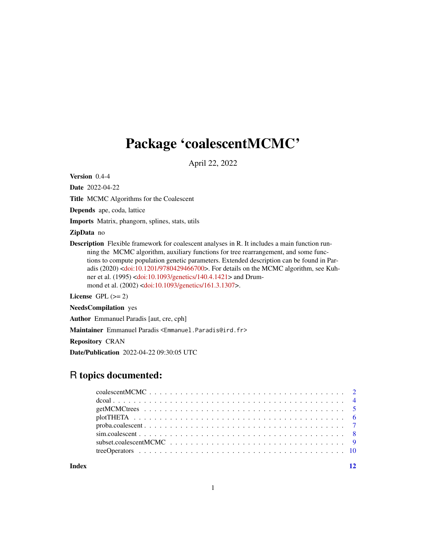# <span id="page-0-0"></span>Package 'coalescentMCMC'

April 22, 2022

Version 0.4-4

Date 2022-04-22

Title MCMC Algorithms for the Coalescent

Depends ape, coda, lattice

Imports Matrix, phangorn, splines, stats, utils

ZipData no

Description Flexible framework for coalescent analyses in R. It includes a main function running the MCMC algorithm, auxiliary functions for tree rearrangement, and some functions to compute population genetic parameters. Extended description can be found in Paradis (2020) [<doi:10.1201/9780429466700>](https://doi.org/10.1201/9780429466700). For details on the MCMC algorithm, see Kuhner et al. (1995) [<doi:10.1093/genetics/140.4.1421>](https://doi.org/10.1093/genetics/140.4.1421) and Drummond et al. (2002) [<doi:10.1093/genetics/161.3.1307>](https://doi.org/10.1093/genetics/161.3.1307).

License GPL  $(>= 2)$ 

NeedsCompilation yes

Author Emmanuel Paradis [aut, cre, cph]

Maintainer Emmanuel Paradis <Emmanuel.Paradis@ird.fr>

Repository CRAN

Date/Publication 2022-04-22 09:30:05 UTC

# R topics documented:

**Index** [12](#page-11-0)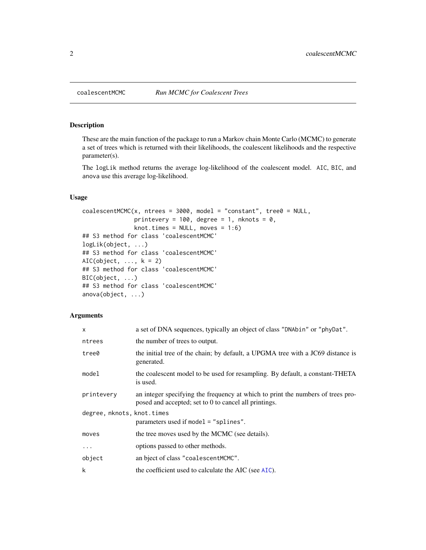# Description

These are the main function of the package to run a Markov chain Monte Carlo (MCMC) to generate a set of trees which is returned with their likelihoods, the coalescent likelihoods and the respective parameter(s).

The logLik method returns the average log-likelihood of the coalescent model. AIC, BIC, and anova use this average log-likelihood.

# Usage

```
coalescentMCMC(x, ntrees = 3000, model = "constant", tree0 = NULL,printevery = 100, degree = 1, nknots = 0,
               knot.times = NULL, moves = 1:6)
## S3 method for class 'coalescentMCMC'
logLik(object, ...)
## S3 method for class 'coalescentMCMC'
AIC(object, \dots, k = 2)
## S3 method for class 'coalescentMCMC'
BIC(object, ...)
## S3 method for class 'coalescentMCMC'
anova(object, ...)
```
#### Arguments

| $\mathsf{x}$               | a set of DNA sequences, typically an object of class "DNAbin" or "phyDat".                                                               |
|----------------------------|------------------------------------------------------------------------------------------------------------------------------------------|
| ntrees                     | the number of trees to output.                                                                                                           |
| tree0                      | the initial tree of the chain; by default, a UPGMA tree with a JC69 distance is<br>generated.                                            |
| model                      | the coalescent model to be used for resampling. By default, a constant-THETA<br>is used.                                                 |
| printevery                 | an integer specifying the frequency at which to print the numbers of trees pro-<br>posed and accepted; set to 0 to cancel all printings. |
| degree, nknots, knot.times |                                                                                                                                          |
|                            | parameters used if model $=$ "splines".                                                                                                  |
| moves                      | the tree moves used by the MCMC (see details).                                                                                           |
| $\cdots$                   | options passed to other methods.                                                                                                         |
| object                     | an bject of class "coalescentMCMC".                                                                                                      |
| k                          | the coefficient used to calculate the AIC (see AIC).                                                                                     |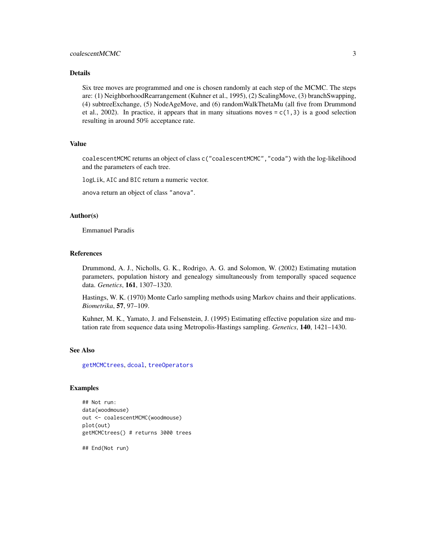## <span id="page-2-0"></span>coalescentMCMC 3

#### Details

Six tree moves are programmed and one is chosen randomly at each step of the MCMC. The steps are: (1) NeighborhoodRearrangement (Kuhner et al., 1995), (2) ScalingMove, (3) branchSwapping, (4) subtreeExchange, (5) NodeAgeMove, and (6) randomWalkThetaMu (all five from Drummond et al., 2002). In practice, it appears that in many situations moves =  $c(1,3)$  is a good selection resulting in around 50% acceptance rate.

#### Value

coalescentMCMC returns an object of class c("coalescentMCMC","coda") with the log-likelihood and the parameters of each tree.

logLik, AIC and BIC return a numeric vector.

anova return an object of class "anova".

#### Author(s)

Emmanuel Paradis

#### References

Drummond, A. J., Nicholls, G. K., Rodrigo, A. G. and Solomon, W. (2002) Estimating mutation parameters, population history and genealogy simultaneously from temporally spaced sequence data. *Genetics*, 161, 1307–1320.

Hastings, W. K. (1970) Monte Carlo sampling methods using Markov chains and their applications. *Biometrika*, 57, 97–109.

Kuhner, M. K., Yamato, J. and Felsenstein, J. (1995) Estimating effective population size and mutation rate from sequence data using Metropolis-Hastings sampling. *Genetics*, 140, 1421–1430.

#### See Also

[getMCMCtrees](#page-4-1), [dcoal](#page-3-1), [treeOperators](#page-9-1)

### Examples

```
## Not run:
data(woodmouse)
out <- coalescentMCMC(woodmouse)
plot(out)
getMCMCtrees() # returns 3000 trees
```
## End(Not run)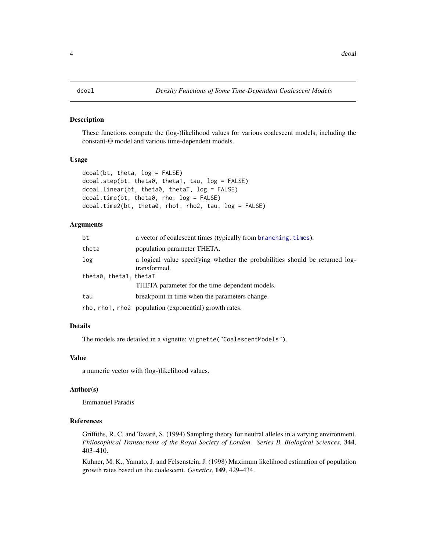#### <span id="page-3-1"></span><span id="page-3-0"></span>Description

These functions compute the (log-)likelihood values for various coalescent models, including the constant-Θ model and various time-dependent models.

# Usage

```
dcoal(bt, theta, log = FALSE)
dcoal.step(bt, theta0, theta1, tau, log = FALSE)
dcoal.linear(bt, theta0, thetaT, log = FALSE)
dcoal.time(bt, theta0, rho, log = FALSE)
dcoal.time2(bt, theta0, rho1, rho2, tau, log = FALSE)
```
# Arguments

| bt                     | a vector of coalescent times (typically from branching. times).                              |  |
|------------------------|----------------------------------------------------------------------------------------------|--|
| theta                  | population parameter THETA.                                                                  |  |
| log                    | a logical value specifying whether the probabilities should be returned log-<br>transformed. |  |
| theta0, theta1, thetaT | THETA parameter for the time-dependent models.                                               |  |
| tau                    | breakpoint in time when the parameters change.                                               |  |
|                        | rho, rho1, rho2 population (exponential) growth rates.                                       |  |

#### Details

The models are detailed in a vignette: vignette("CoalescentModels").

#### Value

a numeric vector with (log-)likelihood values.

#### Author(s)

Emmanuel Paradis

#### References

Griffiths, R. C. and Tavaré, S. (1994) Sampling theory for neutral alleles in a varying environment. *Philosophical Transactions of the Royal Society of London. Series B. Biological Sciences*, 344, 403–410.

Kuhner, M. K., Yamato, J. and Felsenstein, J. (1998) Maximum likelihood estimation of population growth rates based on the coalescent. *Genetics*, 149, 429–434.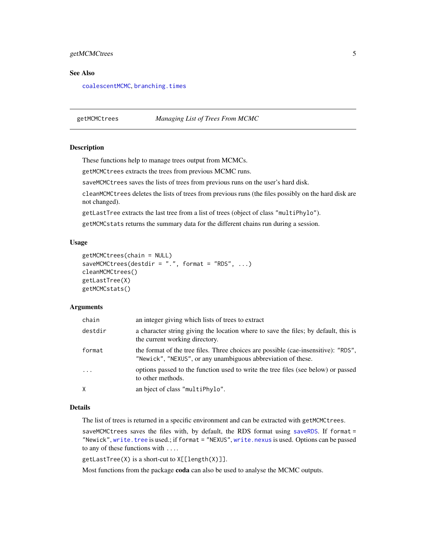# <span id="page-4-0"></span>getMCMCtrees 5

#### See Also

[coalescentMCMC](#page-1-1), [branching.times](#page-0-0)

<span id="page-4-1"></span>getMCMCtrees *Managing List of Trees From MCMC*

#### **Description**

These functions help to manage trees output from MCMCs.

getMCMCtrees extracts the trees from previous MCMC runs.

saveMCMCtrees saves the lists of trees from previous runs on the user's hard disk.

cleanMCMCtrees deletes the lists of trees from previous runs (the files possibly on the hard disk are not changed).

getLastTree extracts the last tree from a list of trees (object of class "multiPhylo").

getMCMCstats returns the summary data for the different chains run during a session.

### Usage

```
getMCMCtrees(chain = NULL)
saveMCMCtrees(destdir = ".", format = "RDS", \ldots)
cleanMCMCtrees()
getLastTree(X)
getMCMCstats()
```
#### Arguments

| chain    | an integer giving which lists of trees to extract                                                                                                  |
|----------|----------------------------------------------------------------------------------------------------------------------------------------------------|
| destdir  | a character string giving the location where to save the files; by default, this is<br>the current working directory.                              |
| format   | the format of the tree files. Three choices are possible (cae-insensitive): "RDS",<br>"Newick", "NEXUS", or any unambiguous abbreviation of these. |
| $\cdots$ | options passed to the function used to write the tree files (see below) or passed<br>to other methods.                                             |
| χ        | an bject of class "multiPhylo".                                                                                                                    |

#### Details

The list of trees is returned in a specific environment and can be extracted with getMCMCtrees.

saveMCMCtrees saves the files with, by default, the RDS format using [saveRDS](#page-0-0). If format = "Newick", [write.tree](#page-0-0) is used.; if format = "NEXUS", [write.nexus](#page-0-0) is used. Options can be passed to any of these functions with ....

getLastTree(X) is a short-cut to X[[length(X)]].

Most functions from the package coda can also be used to analyse the MCMC outputs.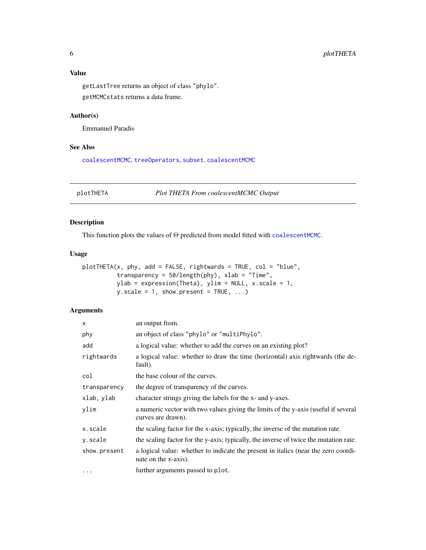<span id="page-5-0"></span>

getLastTree returns an object of class "phylo". getMCMCstats returns a data frame.

# Author(s)

Emmanuel Paradis

# See Also

[coalescentMCMC](#page-1-1), [treeOperators](#page-9-1), [subset.coalescentMCMC](#page-8-1)

plotTHETA *Plot THETA From coalescentMCMC Output*

# Description

This function plots the values of Θ predicted from model fitted with [coalescentMCMC](#page-1-1).

## Usage

```
plotTHETA(x, phy, add = FALSE, rightwards = TRUE, col = "blue",transparency = 50/length(phy), xlab = "Time",
           ylab = expression(Theta), ylim = NULL, x.scale = 1,
           y.\text{scale} = 1, \text{ show.present} = \text{TRUE}, \dots
```
# Arguments

| $\times$     | an output from.                                                                                            |
|--------------|------------------------------------------------------------------------------------------------------------|
| phy          | an object of class "phylo" or "multiPhylo".                                                                |
| add          | a logical value: whether to add the curves on an existing plot?                                            |
| rightwards   | a logical value: whether to draw the time (horizontal) axis rightwards (the de-<br>fault).                 |
| col          | the base colour of the curves.                                                                             |
| transparency | the degree of transparency of the curves.                                                                  |
| xlab, ylab   | character strings giving the labels for the x- and y-axes.                                                 |
| ylim         | a numeric vector with two values giving the limits of the y-axis (useful if several<br>curves are drawn).  |
| x.scale      | the scaling factor for the x-axis; typically, the inverse of the mutation rate.                            |
| y.scale      | the scaling factor for the y-axis; typically, the inverse of twice the mutation rate.                      |
| show.present | a logical value: whether to indicate the present in italics (near the zero coordi-<br>nate on the x-axis). |
| $\cdots$     | further arguments passed to plot.                                                                          |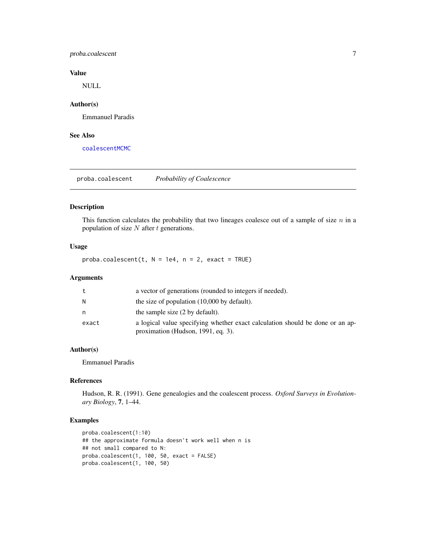# <span id="page-6-0"></span>proba.coalescent 7

# Value

NULL

# Author(s)

Emmanuel Paradis

### See Also

[coalescentMCMC](#page-1-1)

proba.coalescent *Probability of Coalescence*

#### Description

This function calculates the probability that two lineages coalesce out of a sample of size  $n$  in a population of size  $N$  after  $t$  generations.

#### Usage

 $proba.coalescent(t, N = 1e4, n = 2, exact = TRUE)$ 

#### Arguments

| t     | a vector of generations (rounded to integers if needed).                                                            |
|-------|---------------------------------------------------------------------------------------------------------------------|
| N     | the size of population $(10,000)$ by default).                                                                      |
| n     | the sample size (2 by default).                                                                                     |
| exact | a logical value specifying whether exact calculation should be done or an ap-<br>proximation (Hudson, 1991, eq. 3). |

# Author(s)

Emmanuel Paradis

### References

Hudson, R. R. (1991). Gene genealogies and the coalescent process. *Oxford Surveys in Evolutionary Biology*, 7, 1–44.

# Examples

```
proba.coalescent(1:10)
## the approximate formula doesn't work well when n is
## not small compared to N:
proba.coalescent(1, 100, 50, exact = FALSE)
proba.coalescent(1, 100, 50)
```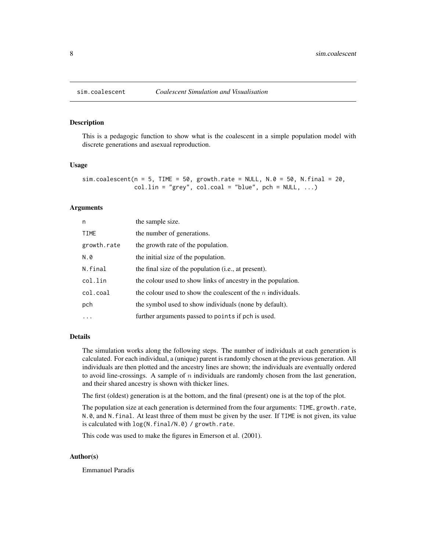<span id="page-7-0"></span>

#### Description

This is a pedagogic function to show what is the coalescent in a simple population model with discrete generations and asexual reproduction.

#### Usage

```
sim.coalescent(n = 5, TIME = 50, growth.rate = NULL, N.0 = 50, N.final = 20,
              col.lin = "grey", col.coal = "blue", pch = NULL, ...)
```
#### Arguments

| n           | the sample size.                                               |
|-------------|----------------------------------------------------------------|
| TIME        | the number of generations.                                     |
| growth.rate | the growth rate of the population.                             |
| N.0         | the initial size of the population.                            |
| N.final     | the final size of the population (i.e., at present).           |
| col.lin     | the colour used to show links of ancestry in the population.   |
| col.coal    | the colour used to show the coalescent of the $n$ individuals. |
| pch         | the symbol used to show individuals (none by default).         |
| .           | further arguments passed to points if pch is used.             |

#### Details

The simulation works along the following steps. The number of individuals at each generation is calculated. For each individual, a (unique) parent is randomly chosen at the previous generation. All individuals are then plotted and the ancestry lines are shown; the individuals are eventually ordered to avoid line-crossings. A sample of  $n$  individuals are randomly chosen from the last generation, and their shared ancestry is shown with thicker lines.

The first (oldest) generation is at the bottom, and the final (present) one is at the top of the plot.

The population size at each generation is determined from the four arguments: TIME, growth.rate, N.0, and N.final. At least three of them must be given by the user. If TIME is not given, its value is calculated with log(N.final/N.0) / growth.rate.

This code was used to make the figures in Emerson et al. (2001).

#### Author(s)

Emmanuel Paradis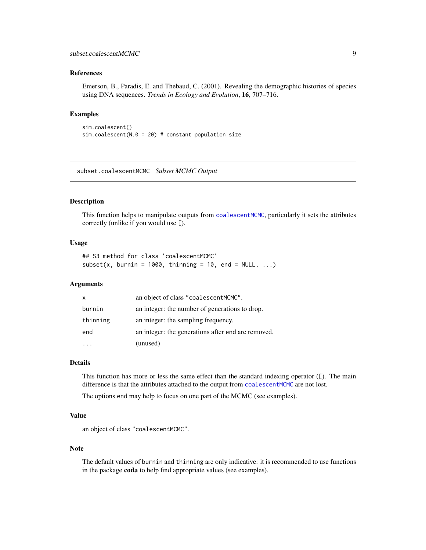# <span id="page-8-0"></span>References

Emerson, B., Paradis, E. and Thebaud, C. (2001). Revealing the demographic histories of species using DNA sequences. *Trends in Ecology and Evolution*, 16, 707–716.

# Examples

```
sim.coalescent()
sim.coalescent(N.0 = 20) # constant population size
```
<span id="page-8-1"></span>subset.coalescentMCMC *Subset MCMC Output*

#### Description

This function helps to manipulate outputs from [coalescentMCMC](#page-1-1), particularly it sets the attributes correctly (unlike if you would use [).

#### Usage

## S3 method for class 'coalescentMCMC' subset(x, burnin = 1000, thinning = 10, end = NULL,  $\ldots$ )

#### Arguments

| $\mathsf{x}$ | an object of class "coalescentMCMC".               |
|--------------|----------------------------------------------------|
| burnin       | an integer: the number of generations to drop.     |
| thinning     | an integer: the sampling frequency.                |
| end          | an integer: the generations after end are removed. |
|              | (unused)                                           |

#### Details

This function has more or less the same effect than the standard indexing operator ([). The main difference is that the attributes attached to the output from [coalescentMCMC](#page-1-1) are not lost.

The options end may help to focus on one part of the MCMC (see examples).

#### Value

an object of class "coalescentMCMC".

#### **Note**

The default values of burnin and thinning are only indicative: it is recommended to use functions in the package coda to help find appropriate values (see examples).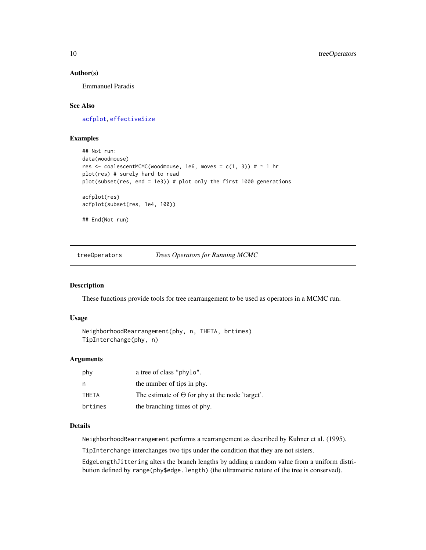#### <span id="page-9-0"></span>Author(s)

Emmanuel Paradis

# See Also

[acfplot](#page-0-0), [effectiveSize](#page-0-0)

# Examples

```
## Not run:
data(woodmouse)
res <- coalescentMCMC(woodmouse, 1e6, moves = c(1, 3)) # ~ 1 hr
plot(res) # surely hard to read
plot(subset(res, end = 1e3)) # plot only the first 1000 generations
acfplot(res)
acfplot(subset(res, 1e4, 100))
## End(Not run)
```
<span id="page-9-1"></span>treeOperators *Trees Operators for Running MCMC*

#### Description

These functions provide tools for tree rearrangement to be used as operators in a MCMC run.

#### Usage

```
NeighborhoodRearrangement(phy, n, THETA, brtimes)
TipInterchange(phy, n)
```
# Arguments

| phy     | a tree of class "phylo".                               |
|---------|--------------------------------------------------------|
| n       | the number of tips in phy.                             |
| THETA   | The estimate of $\Theta$ for phy at the node 'target'. |
| brtimes | the branching times of phy.                            |

# Details

NeighborhoodRearrangement performs a rearrangement as described by Kuhner et al. (1995).

TipInterchange interchanges two tips under the condition that they are not sisters.

EdgeLengthJittering alters the branch lengths by adding a random value from a uniform distribution defined by range(phy\$edge.length) (the ultrametric nature of the tree is conserved).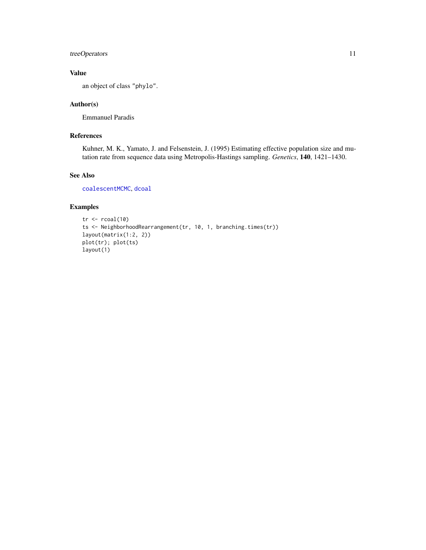# <span id="page-10-0"></span>treeOperators 11

# Value

an object of class "phylo".

# Author(s)

Emmanuel Paradis

# References

Kuhner, M. K., Yamato, J. and Felsenstein, J. (1995) Estimating effective population size and mutation rate from sequence data using Metropolis-Hastings sampling. *Genetics*, 140, 1421–1430.

# See Also

[coalescentMCMC](#page-1-1), [dcoal](#page-3-1)

# Examples

```
tr < -rcoal(10)ts <- NeighborhoodRearrangement(tr, 10, 1, branching.times(tr))
layout(matrix(1:2, 2))
plot(tr); plot(ts)
layout(1)
```